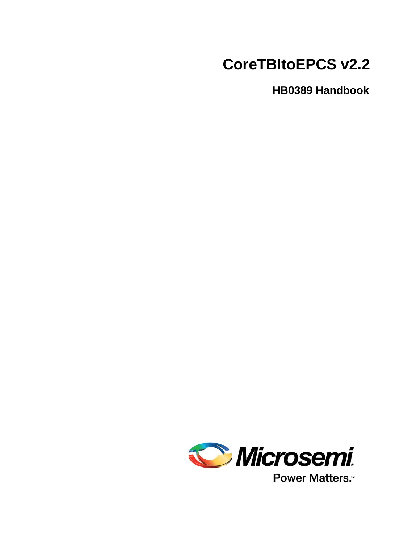# **CoreTBItoEPCS v2.2**

**HB0389 Handbook**



Power Matters.<sup>\*</sup>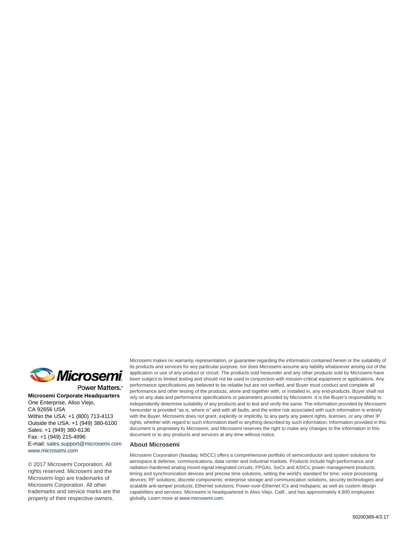

Power Matters.<sup>\*</sup>

**Microsemi Corporate Headquarters** One Enterprise, Aliso Viejo, CA 92656 USA Within the USA: +1 (800) 713-4113 Outside the USA: +1 (949) 380-6100 Sales: +1 (949) 380-6136 Fax: +1 (949) 215-4996 E-mail: [sales.support@microsemi.com](mailto:sales.support@microsemi.com) [www.microsemi.com](http://www.microsemi.com)

© 2017 Microsemi Corporation. All rights reserved. Microsemi and the Microsemi logo are trademarks of Microsemi Corporation. All other trademarks and service marks are the property of their respective owners.

Microsemi makes no warranty, representation, or guarantee regarding the information contained herein or the suitability of its products and services for any particular purpose, nor does Microsemi assume any liability whatsoever arising out of the application or use of any product or circuit. The products sold hereunder and any other products sold by Microsemi have been subject to limited testing and should not be used in conjunction with mission-critical equipment or applications. Any performance specifications are believed to be reliable but are not verified, and Buyer must conduct and complete all performance and other testing of the products, alone and together with, or installed in, any end-products. Buyer shall not rely on any data and performance specifications or parameters provided by Microsemi. It is the Buyer's responsibility to independently determine suitability of any products and to test and verify the same. The information provided by Microsemi hereunder is provided "as is, where is" and with all faults, and the entire risk associated with such information is entirely with the Buyer. Microsemi does not grant, explicitly or implicitly, to any party any patent rights, licenses, or any other IP rights, whether with regard to such information itself or anything described by such information. Information provided in this document is proprietary to Microsemi, and Microsemi reserves the right to make any changes to the information in this document or to any products and services at any time without notice.

#### **About Microsemi**

Microsemi Corporation (Nasdaq: MSCC) offers a comprehensive portfolio of semiconductor and system solutions for aerospace & defense, communications, data center and industrial markets. Products include high-performance and radiation-hardened analog mixed-signal integrated circuits, FPGAs, SoCs and ASICs; power management products; timing and synchronization devices and precise time solutions, setting the world's standard for time; voice processing devices; RF solutions; discrete components; enterprise storage and communication solutions, security technologies and scalable anti-tamper products; Ethernet solutions; Power-over-Ethernet ICs and midspans; as well as custom design capabilities and services. Microsemi is headquartered in Aliso Viejo, Calif., and has approximately 4,800 employees globally. Learn more at www.microsemi.com.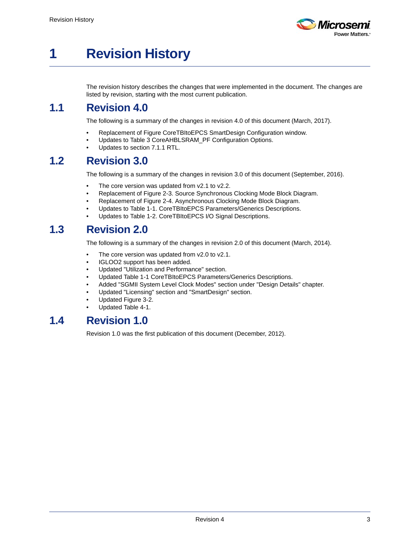

# <span id="page-2-0"></span>**1 Revision History**

The revision history describes the changes that were implemented in the document. The changes are listed by revision, starting with the most current publication.

#### <span id="page-2-1"></span>**1.1 Revision 4.0**

The following is a summary of the changes in revision 4.0 of this document (March, 2017).

- Replacement of Figure CoreTBItoEPCS SmartDesign Configuration window.
- Updates to Table 3 CoreAHBLSRAM\_PF Configuration Options.
- Updates to section 7.1.1 RTL.

#### <span id="page-2-2"></span>**1.2 Revision 3.0**

The following is a summary of the changes in revision 3.0 of this document (September, 2016).

- The core version was updated from v2.1 to v2.2.
- Replacement of Figure 2-3. Source Synchronous Clocking Mode Block Diagram.
- Replacement of Figure 2-4. Asynchronous Clocking Mode Block Diagram.
- Updates to Table 1-1. CoreTBItoEPCS Parameters/Generics Descriptions.
- Updates to Table 1-2. CoreTBItoEPCS I/O Signal Descriptions.

### <span id="page-2-3"></span>**1.3 Revision 2.0**

The following is a summary of the changes in revision 2.0 of this document (March, 2014).

- The core version was updated from v2.0 to v2.1.
- IGLOO2 support has been added.
- Updated "Utilization and Performance" section.
- Updated Table 1-1 CoreTBItoEPCS Parameters/Generics Descriptions.
- Added "SGMII System Level Clock Modes" section under "Design Details" chapter.
- Updated "Licensing" section and "SmartDesign" section.
- Updated Figure 3-2.
- Updated Table 4-1.

### <span id="page-2-4"></span>**1.4 Revision 1.0**

Revision 1.0 was the first publication of this document (December, 2012).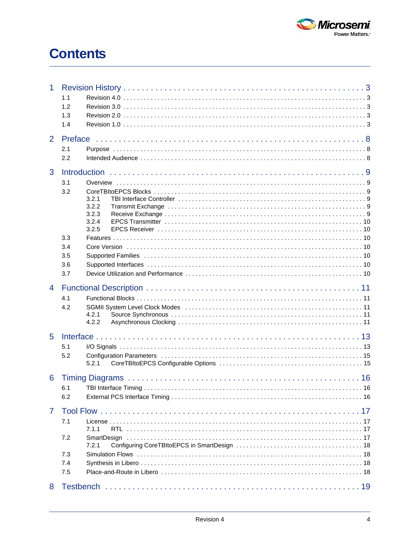

## **Contents**

| 1              | 1.1<br>1.2<br>1.3<br>1.4        |                                                                                                                                                                                                                                                  |
|----------------|---------------------------------|--------------------------------------------------------------------------------------------------------------------------------------------------------------------------------------------------------------------------------------------------|
| $\overline{2}$ | 2.1<br>2.2                      |                                                                                                                                                                                                                                                  |
| 3              | 3.1<br>3.2                      | 3.2.1<br>3.2.2<br>3.2.3<br>3.2.4<br>3.2.5                                                                                                                                                                                                        |
|                | 3.3<br>3.4<br>3.5<br>3.6<br>3.7 |                                                                                                                                                                                                                                                  |
| $\overline{4}$ | 4.1<br>4.2                      | SGMII System Level Clock Modes (and all and all and all and all and all and all and all and all and all and all and all and all and all and all and all and all and all and all and all and all and all and all and all and al<br>4.2.1<br>4.2.2 |
| 5              | 5.1<br>5.2                      | 5.2.1                                                                                                                                                                                                                                            |
| 6              | 6.1<br>6.2                      |                                                                                                                                                                                                                                                  |
| $\overline{7}$ | 7.1<br>7.2<br>7.3<br>7.4<br>7.5 | 7.1.1<br>7.2.1                                                                                                                                                                                                                                   |
|                | 8 Testbench                     | 19                                                                                                                                                                                                                                               |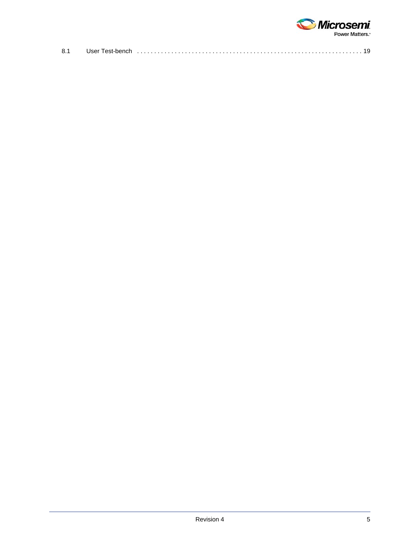

| 8.1 | User Test-bench |  |
|-----|-----------------|--|
|     |                 |  |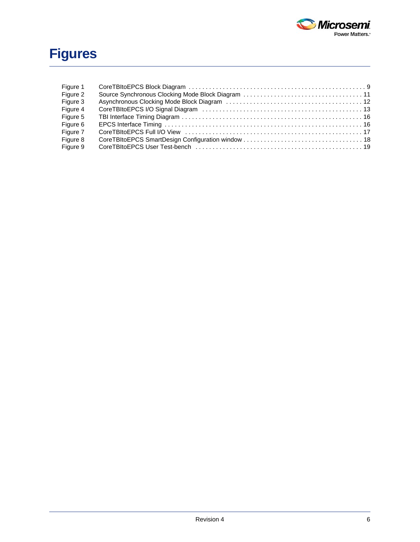

# **Figures**

| Figure 1 |  |
|----------|--|
| Figure 2 |  |
| Figure 3 |  |
| Figure 4 |  |
| Figure 5 |  |
| Figure 6 |  |
| Figure 7 |  |
| Figure 8 |  |
| Figure 9 |  |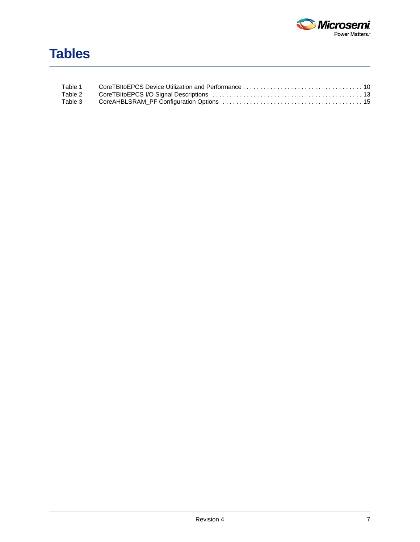

| Table 1 |  |
|---------|--|
| Table 2 |  |
| Table 3 |  |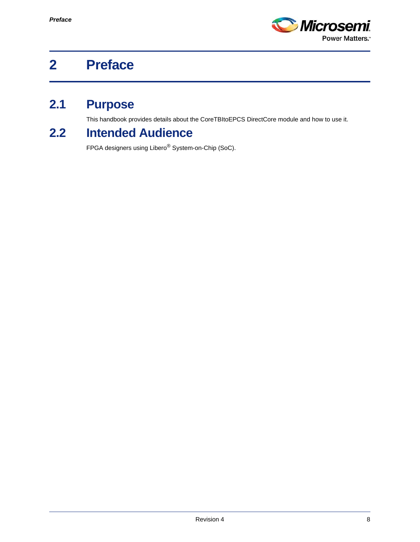

# <span id="page-7-0"></span>**2 Preface**

## <span id="page-7-1"></span>**2.1 Purpose**

This handbook provides details about the CoreTBItoEPCS DirectCore module and how to use it.

## <span id="page-7-2"></span>**2.2 Intended Audience**

FPGA designers using Libero® System-on-Chip (SoC).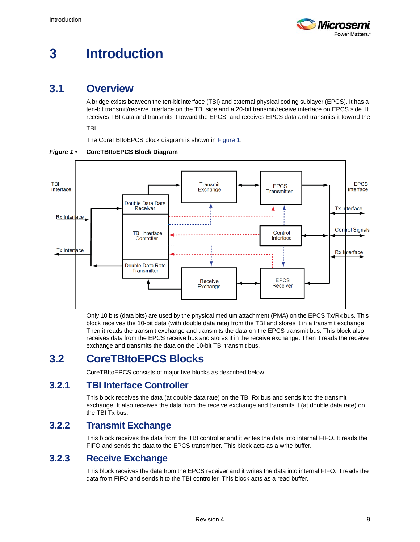

# <span id="page-8-0"></span>**3 Introduction**

### <span id="page-8-1"></span>**3.1 Overview**

A bridge exists between the ten-bit interface (TBI) and external physical coding sublayer (EPCS). It has a ten-bit transmit/receive interface on the TBI side and a 20-bit transmit/receive interface on EPCS side. It receives TBI data and transmits it toward the EPCS, and receives EPCS data and transmits it toward the

TBI.

<span id="page-8-7"></span>The CoreTBItoEPCS block diagram is shown in [Figure 1](#page-8-6).



<span id="page-8-6"></span>*Figure 1 •* **CoreTBItoEPCS Block Diagram**

Only 10 bits (data bits) are used by the physical medium attachment (PMA) on the EPCS Tx/Rx bus. This block receives the 10-bit data (with double data rate) from the TBI and stores it in a transmit exchange. Then it reads the transmit exchange and transmits the data on the EPCS transmit bus. This block also receives data from the EPCS receive bus and stores it in the receive exchange. Then it reads the receive exchange and transmits the data on the 10-bit TBI transmit bus.

### <span id="page-8-2"></span>**3.2 CoreTBItoEPCS Blocks**

CoreTBItoEPCS consists of major five blocks as described below.

#### <span id="page-8-3"></span>**3.2.1 TBI Interface Controller**

This block receives the data (at double data rate) on the TBI Rx bus and sends it to the transmit exchange. It also receives the data from the receive exchange and transmits it (at double data rate) on the TBI Tx bus.

#### <span id="page-8-4"></span>**3.2.2 Transmit Exchange**

This block receives the data from the TBI controller and it writes the data into internal FIFO. It reads the FIFO and sends the data to the EPCS transmitter. This block acts as a write buffer.

#### <span id="page-8-5"></span>**3.2.3 Receive Exchange**

This block receives the data from the EPCS receiver and it writes the data into internal FIFO. It reads the data from FIFO and sends it to the TBI controller. This block acts as a read buffer.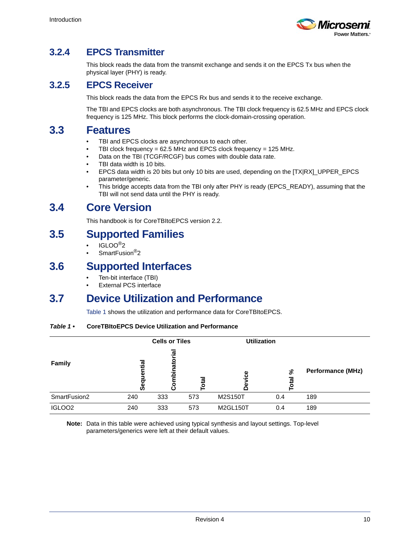

### <span id="page-9-0"></span>**3.2.4 EPCS Transmitter**

This block reads the data from the transmit exchange and sends it on the EPCS Tx bus when the physical layer (PHY) is ready.

#### <span id="page-9-1"></span>**3.2.5 EPCS Receiver**

This block reads the data from the EPCS Rx bus and sends it to the receive exchange.

The TBI and EPCS clocks are both asynchronous. The TBI clock frequency is 62.5 MHz and EPCS clock frequency is 125 MHz. This block performs the clock-domain-crossing operation.

#### <span id="page-9-2"></span>**3.3 Features**

- TBI and EPCS clocks are asynchronous to each other.
- TBI clock frequency = 62.5 MHz and EPCS clock frequency = 125 MHz.
- Data on the TBI (TCGF/RCGF) bus comes with double data rate.
- TBI data width is 10 bits.
- EPCS data width is 20 bits but only 10 bits are used, depending on the [TX|RX]\_UPPER\_EPCS parameter/generic.
- This bridge accepts data from the TBI only after PHY is ready (EPCS\_READY), assuming that the TBI will not send data until the PHY is ready.

#### <span id="page-9-3"></span>**3.4 Core Version**

This handbook is for CoreTBItoEPCS version 2.2.

#### <span id="page-9-4"></span>**3.5 Supported Families**

- IGLOO®2
- SmartFusion<sup>®</sup>2

#### <span id="page-9-5"></span>**3.6 Supported Interfaces**

- Ten-bit interface (TBI)
- **External PCS interface**

#### <span id="page-9-6"></span>**3.7 Device Utilization and Performance**

[Table 1](#page-9-7) shows the utilization and performance data for CoreTBItoEPCS.

#### <span id="page-9-7"></span>*Table 1 •* **CoreTBItoEPCS Device Utilization and Performance**

|                    |                      | <b>Cells or Tiles</b> |        | <b>Utilization</b> |     |                          |
|--------------------|----------------------|-----------------------|--------|--------------------|-----|--------------------------|
| Family             | ntia<br>ō<br>σ<br>ທັ | binatorial<br>٥       | 唇<br>ō | ပ္ပ                | వి  | <b>Performance (MHz)</b> |
| SmartFusion2       | 240                  | 333                   | 573    | M2S150T            | 0.4 | 189                      |
| IGLOO <sub>2</sub> | 240                  | 333                   | 573    | M2GL150T           | 0.4 | 189                      |

**Note:** Data in this table were achieved using typical synthesis and layout settings. Top-level parameters/generics were left at their default values.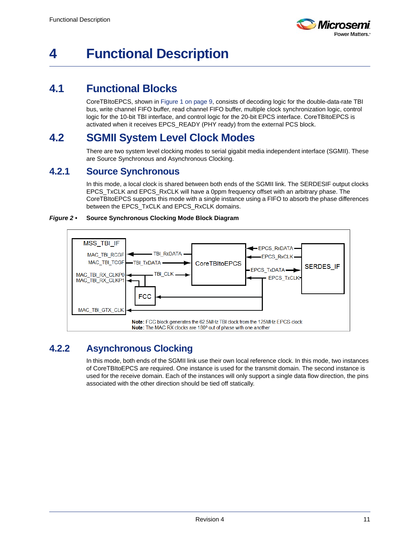

## <span id="page-10-0"></span>**4 Functional Description**

### <span id="page-10-1"></span>**4.1 Functional Blocks**

CoreTBItoEPCS, shown in [Figure 1 on page 9,](#page-8-7) consists of decoding logic for the double-data-rate TBI bus, write channel FIFO buffer, read channel FIFO buffer, multiple clock synchronization logic, control logic for the 10-bit TBI interface, and control logic for the 20-bit EPCS interface. CoreTBItoEPCS is activated when it receives EPCS\_READY (PHY ready) from the external PCS block.

### <span id="page-10-2"></span>**4.2 SGMII System Level Clock Modes**

There are two system level clocking modes to serial gigabit media independent interface (SGMII). These are Source Synchronous and Asynchronous Clocking.

#### <span id="page-10-3"></span>**4.2.1 Source Synchronous**

In this mode, a local clock is shared between both ends of the SGMII link. The SERDESIF output clocks EPCS TxCLK and EPCS RxCLK will have a 0ppm frequency offset with an arbitrary phase. The CoreTBItoEPCS supports this mode with a single instance using a FIFO to absorb the phase differences between the EPCS\_TxCLK and EPCS\_RxCLK domains.

#### <span id="page-10-5"></span>*Figure 2 •* **Source Synchronous Clocking Mode Block Diagram**



#### <span id="page-10-4"></span>**4.2.2 Asynchronous Clocking**

In this mode, both ends of the SGMII link use their own local reference clock. In this mode, two instances of CoreTBItoEPCS are required. One instance is used for the transmit domain. The second instance is used for the receive domain. Each of the instances will only support a single data flow direction, the pins associated with the other direction should be tied off statically.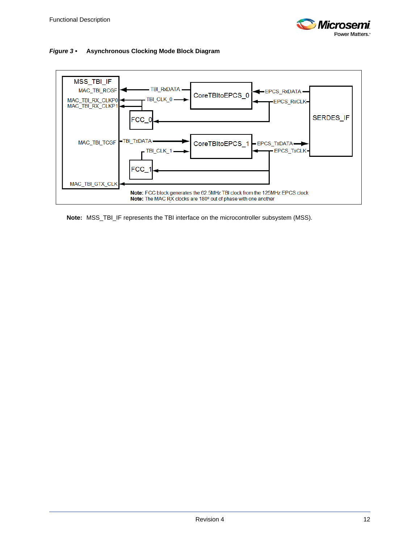

<span id="page-11-0"></span>



**Note:** MSS\_TBI\_IF represents the TBI interface on the microcontroller subsystem (MSS).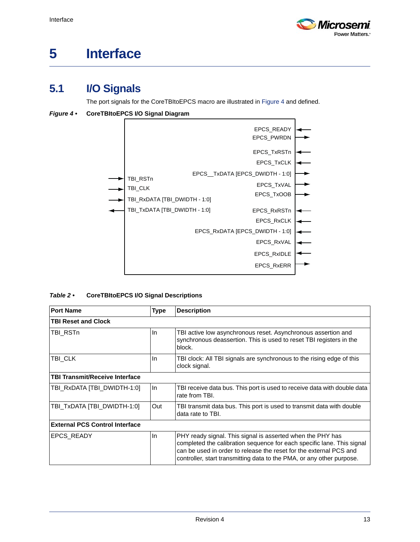

# <span id="page-12-0"></span>**5 Interface**

### <span id="page-12-1"></span>**5.1 I/O Signals**

The port signals for the CoreTBItoEPCS macro are illustrated in [Figure 4](#page-12-2) and defined.

<span id="page-12-2"></span>*Figure 4 •* **CoreTBItoEPCS I/O Signal Diagram**



<span id="page-12-3"></span>

| Table 2 $\cdot$ | <b>CoreTBItoEPCS I/O Signal Descriptions</b> |
|-----------------|----------------------------------------------|
|                 |                                              |

| <b>Port Name</b>                      | <b>Type</b> | <b>Description</b>                                                                                                                                                                                                                                                                  |  |  |  |
|---------------------------------------|-------------|-------------------------------------------------------------------------------------------------------------------------------------------------------------------------------------------------------------------------------------------------------------------------------------|--|--|--|
| <b>TBI Reset and Clock</b>            |             |                                                                                                                                                                                                                                                                                     |  |  |  |
| TBI RSTn                              | In.         | TBI active low asynchronous reset. Asynchronous assertion and<br>synchronous deassertion. This is used to reset TBI registers in the<br>block.                                                                                                                                      |  |  |  |
| TBI CLK                               | In.         | TBI clock: All TBI signals are synchronous to the rising edge of this<br>clock signal.                                                                                                                                                                                              |  |  |  |
| <b>TBI Transmit/Receive Interface</b> |             |                                                                                                                                                                                                                                                                                     |  |  |  |
| TBI RxDATA [TBI DWIDTH-1:0]           | In          | TBI receive data bus. This port is used to receive data with double data<br>rate from TBI.                                                                                                                                                                                          |  |  |  |
| TBI_TxDATA [TBI_DWIDTH-1:0]           | Out         | TBI transmit data bus. This port is used to transmit data with double<br>data rate to TBI.                                                                                                                                                                                          |  |  |  |
| <b>External PCS Control Interface</b> |             |                                                                                                                                                                                                                                                                                     |  |  |  |
| <b>EPCS READY</b>                     | In          | PHY ready signal. This signal is asserted when the PHY has<br>completed the calibration sequence for each specific lane. This signal<br>can be used in order to release the reset for the external PCS and<br>controller, start transmitting data to the PMA, or any other purpose. |  |  |  |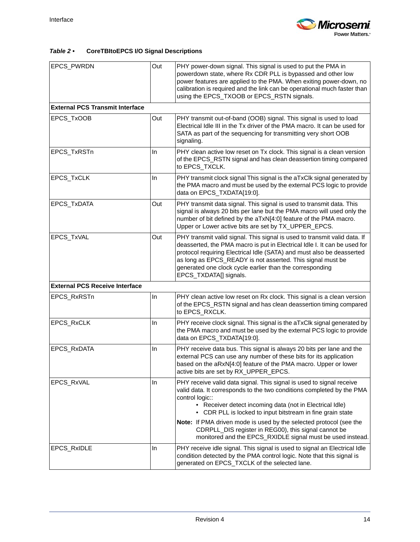

#### *Table 2 •* **CoreTBItoEPCS I/O Signal Descriptions**

| EPCS_PWRDN                             | Out | PHY power-down signal. This signal is used to put the PMA in<br>powerdown state, where Rx CDR PLL is bypassed and other low<br>power features are applied to the PMA. When exiting power-down, no<br>calibration is required and the link can be operational much faster than<br>using the EPCS_TXOOB or EPCS_RSTN signals.                                                                                                                                                            |  |
|----------------------------------------|-----|----------------------------------------------------------------------------------------------------------------------------------------------------------------------------------------------------------------------------------------------------------------------------------------------------------------------------------------------------------------------------------------------------------------------------------------------------------------------------------------|--|
| <b>External PCS Transmit Interface</b> |     |                                                                                                                                                                                                                                                                                                                                                                                                                                                                                        |  |
| EPCS_TxOOB                             | Out | PHY transmit out-of-band (OOB) signal. This signal is used to load<br>Electrical Idle III in the Tx driver of the PMA macro. It can be used for<br>SATA as part of the sequencing for transmitting very short OOB<br>signaling.                                                                                                                                                                                                                                                        |  |
| EPCS_TxRSTn                            | In. | PHY clean active low reset on Tx clock. This signal is a clean version<br>of the EPCS_RSTN signal and has clean deassertion timing compared<br>to EPCS_TXCLK.                                                                                                                                                                                                                                                                                                                          |  |
| EPCS_TxCLK                             | In  | PHY transmit clock signal This signal is the aTxClk signal generated by<br>the PMA macro and must be used by the external PCS logic to provide<br>data on EPCS_TXDATA[19:0].                                                                                                                                                                                                                                                                                                           |  |
| EPCS_TxDATA                            | Out | PHY transmit data signal. This signal is used to transmit data. This<br>signal is always 20 bits per lane but the PMA macro will used only the<br>number of bit defined by the aTxN[4:0] feature of the PMA macro.<br>Upper or Lower active bits are set by TX_UPPER_EPCS.                                                                                                                                                                                                             |  |
| EPCS_TxVAL                             | Out | PHY transmit valid signal. This signal is used to transmit valid data. If<br>deasserted, the PMA macro is put in Electrical Idle I. It can be used for<br>protocol requiring Electrical Idle (SATA) and must also be deasserted<br>as long as EPCS_READY is not asserted. This signal must be<br>generated one clock cycle earlier than the corresponding<br>EPCS_TXDATA[] signals.                                                                                                    |  |
| <b>External PCS Receive Interface</b>  |     |                                                                                                                                                                                                                                                                                                                                                                                                                                                                                        |  |
| EPCS_RxRSTn                            | In  | PHY clean active low reset on Rx clock. This signal is a clean version<br>of the EPCS_RSTN signal and has clean deassertion timing compared<br>to EPCS_RXCLK.                                                                                                                                                                                                                                                                                                                          |  |
| EPCS_RxCLK                             | In. | PHY receive clock signal. This signal is the aTxClk signal generated by<br>the PMA macro and must be used by the external PCS logic to provide<br>data on EPCS_TXDATA[19:0].                                                                                                                                                                                                                                                                                                           |  |
| EPCS_RxDATA                            | In  | PHY receive data bus. This signal is always 20 bits per lane and the<br>external PCS can use any number of these bits for its application<br>based on the aRxN[4:0] feature of the PMA macro. Upper or lower<br>active bits are set by RX_UPPER_EPCS.                                                                                                                                                                                                                                  |  |
| EPCS_RxVAL                             | In. | PHY receive valid data signal. This signal is used to signal receive<br>valid data. It corresponds to the two conditions completed by the PMA<br>control logic::<br>• Receiver detect incoming data (not in Electrical Idle)<br>• CDR PLL is locked to input bitstream in fine grain state<br>Note: If PMA driven mode is used by the selected protocol (see the<br>CDRPLL_DIS register in REG00), this signal cannot be<br>monitored and the EPCS_RXIDLE signal must be used instead. |  |
| EPCS_RxIDLE                            | In. | PHY receive idle signal. This signal is used to signal an Electrical Idle<br>condition detected by the PMA control logic. Note that this signal is<br>generated on EPCS_TXCLK of the selected lane.                                                                                                                                                                                                                                                                                    |  |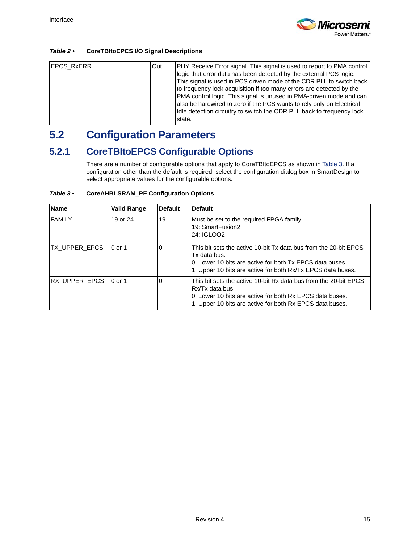

#### *Table 2 •* **CoreTBItoEPCS I/O Signal Descriptions**

| EPCS_RxERR | <b>Out</b> | PHY Receive Error signal. This signal is used to report to PMA control |
|------------|------------|------------------------------------------------------------------------|
|            |            |                                                                        |
|            |            | logic that error data has been detected by the external PCS logic.     |
|            |            | This signal is used in PCS driven mode of the CDR PLL to switch back   |
|            |            | to frequency lock acquisition if too many errors are detected by the   |
|            |            | PMA control logic. This signal is unused in PMA-driven mode and can    |
|            |            | also be hardwired to zero if the PCS wants to rely only on Electrical  |
|            |            | Idle detection circuitry to switch the CDR PLL back to frequency lock  |
|            |            | state.                                                                 |
|            |            |                                                                        |

### <span id="page-14-0"></span>**5.2 Configuration Parameters**

### <span id="page-14-1"></span>**5.2.1 CoreTBItoEPCS Configurable Options**

There are a number of configurable options that apply to CoreTBItoEPCS as shown in [Table 3](#page-14-2). If a configuration other than the default is required, select the configuration dialog box in SmartDesign to select appropriate values for the configurable options.

<span id="page-14-2"></span>

| Table $3 \cdot$ | <b>CoreAHBLSRAM_PF Configuration Options</b> |  |
|-----------------|----------------------------------------------|--|
|                 |                                              |  |

| <b>Name</b>            | <b>Valid Range</b> | <b>Default</b> | <b>Default</b>                                                                                                                                                                                              |
|------------------------|--------------------|----------------|-------------------------------------------------------------------------------------------------------------------------------------------------------------------------------------------------------------|
| <b>FAMILY</b>          | 19 or 24           | 19             | Must be set to the required FPGA family:<br>19: SmartFusion2<br>24: IGLOO2                                                                                                                                  |
| TX_UPPER_EPCS          | $10$ or 1          | $\Omega$       | This bit sets the active 10-bit Tx data bus from the 20-bit EPCS<br>Tx data bus.<br>0: Lower 10 bits are active for both Tx EPCS data buses.<br>1: Upper 10 bits are active for both Rx/Tx EPCS data buses. |
| RX_UPPER_EPCS   0 or 1 |                    | $\Omega$       | This bit sets the active 10-bit Rx data bus from the 20-bit EPCS<br>Rx/Tx data bus.<br>0: Lower 10 bits are active for both Rx EPCS data buses.<br>1: Upper 10 bits are active for both Rx EPCS data buses. |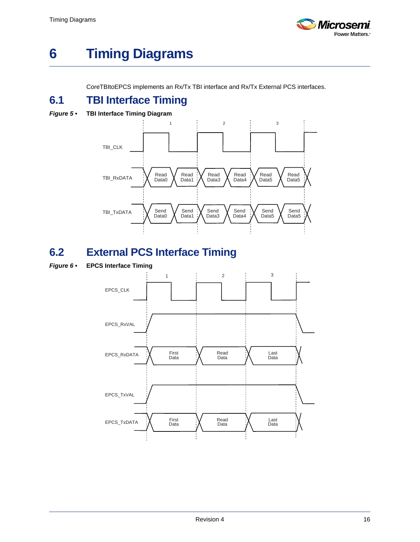

# <span id="page-15-0"></span>**6 Timing Diagrams**

CoreTBItoEPCS implements an Rx/Tx TBI interface and Rx/Tx External PCS interfaces.

## <span id="page-15-1"></span>**6.1 TBI Interface Timing**

<span id="page-15-3"></span>*Figure 5 •* **TBI Interface Timing Diagram**



## <span id="page-15-2"></span>**6.2 External PCS Interface Timing**

<span id="page-15-4"></span>*Figure 6 •* **EPCS Interface Timing**

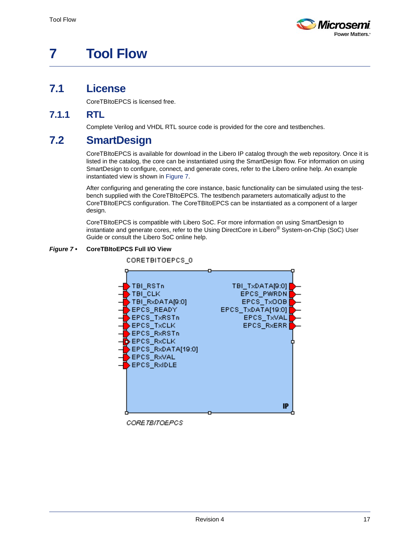

# <span id="page-16-0"></span>**7 Tool Flow**

### <span id="page-16-1"></span>**7.1 License**

CoreTBItoEPCS is licensed free.

#### <span id="page-16-2"></span>**7.1.1 RTL**

Complete Verilog and VHDL RTL source code is provided for the core and testbenches.

### <span id="page-16-3"></span>**7.2 SmartDesign**

CoreTBItoEPCS is available for download in the Libero IP catalog through the web repository. Once it is listed in the catalog, the core can be instantiated using the SmartDesign flow. For information on using SmartDesign to configure, connect, and generate cores, refer to the Libero online help. An example instantiated view is shown in [Figure 7.](#page-16-4)

After configuring and generating the core instance, basic functionality can be simulated using the testbench supplied with the CoreTBItoEPCS. The testbench parameters automatically adjust to the CoreTBItoEPCS configuration. The CoreTBItoEPCS can be instantiated as a component of a larger design.

CoreTBItoEPCS is compatible with Libero SoC. For more information on using SmartDesign to instantiate and generate cores, refer to the Using DirectCore in Libero® System-on-Chip (SoC) User Guide or consult the Libero SoC online help.

#### <span id="page-16-4"></span>*Figure 7 •* **CoreTBItoEPCS Full I/O View**

CORETBITOEPCS\_0



CORETBITOEPCS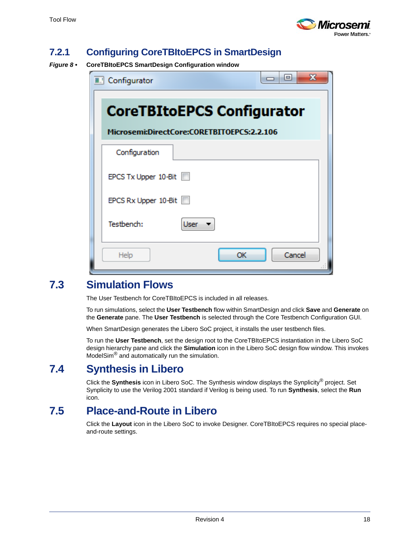

#### <span id="page-17-0"></span>**7.2.1 Configuring CoreTBItoEPCS in SmartDesign**

<span id="page-17-4"></span>*Figure 8 •* **CoreTBItoEPCS SmartDesign Configuration window**

| $\mathbf x$<br>e<br><b>A.</b> Configurator                                      |  |  |  |  |  |  |
|---------------------------------------------------------------------------------|--|--|--|--|--|--|
| <b>CoreTBItoEPCS Configurator</b><br>Microsemi:DirectCore:CORETBITOEPCS:2.2.106 |  |  |  |  |  |  |
| Configuration                                                                   |  |  |  |  |  |  |
| EPCS Tx Upper 10-Bit                                                            |  |  |  |  |  |  |
| EPCS Rx Upper 10-Bit                                                            |  |  |  |  |  |  |
| Testbench:<br><b>User</b>                                                       |  |  |  |  |  |  |
| Cancel<br>Help<br>ОΚ                                                            |  |  |  |  |  |  |

### <span id="page-17-1"></span>**7.3 Simulation Flows**

The User Testbench for CoreTBItoEPCS is included in all releases.

To run simulations, select the **User Testbench** flow within SmartDesign and click **Save** and **Generate** on the **Generate** pane. The **User Testbench** is selected through the Core Testbench Configuration GUI.

When SmartDesign generates the Libero SoC project, it installs the user testbench files.

To run the **User Testbench**, set the design root to the CoreTBItoEPCS instantiation in the Libero SoC design hierarchy pane and click the **Simulation** icon in the Libero SoC design flow window. This invokes ModelSim® and automatically run the simulation.

#### <span id="page-17-2"></span>**7.4 Synthesis in Libero**

Click the **Synthesis** icon in Libero SoC. The Synthesis window displays the Synplicity® project. Set Synplicity to use the Verilog 2001 standard if Verilog is being used. To run **Synthesis**, select the **Run** icon.

#### <span id="page-17-3"></span>**7.5 Place-and-Route in Libero**

Click the **Layout** icon in the Libero SoC to invoke Designer. CoreTBItoEPCS requires no special placeand-route settings.